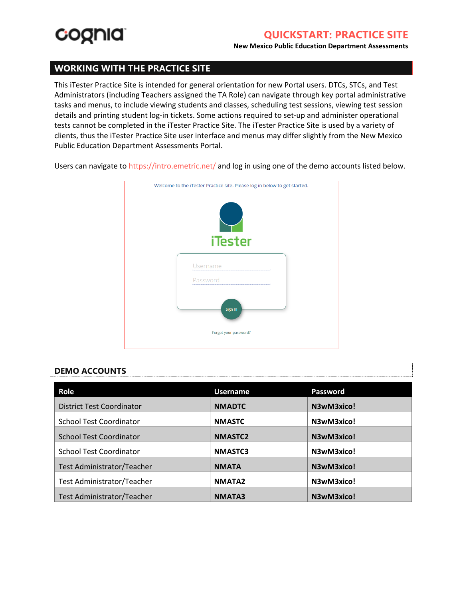

#### **New Mexico Public Education Department Assessments**

### **WORKING WITH THE PRACTICE SITE**

This iTester Practice Site is intended for general orientation for new Portal users. DTCs, STCs, and Test Administrators (including Teachers assigned the TA Role) can navigate through key portal administrative tasks and menus, to include viewing students and classes, scheduling test sessions, viewing test session details and printing student log-in tickets. Some actions required to set-up and administer operational tests cannot be completed in the iTester Practice Site. The iTester Practice Site is used by a variety of clients, thus the iTester Practice Site user interface and menus may differ slightly from the New Mexico Public Education Department Assessments Portal.

Users can navigate to<https://intro.emetric.net/> and log in using one of the demo accounts listed below.



#### **DEMO ACCOUNTS**

| Role                             | <b>Username</b> | Password   |
|----------------------------------|-----------------|------------|
| <b>District Test Coordinator</b> | <b>NMADTC</b>   | N3wM3xico! |
| <b>School Test Coordinator</b>   | <b>NMASTC</b>   | N3wM3xico! |
| <b>School Test Coordinator</b>   | <b>NMASTC2</b>  | N3wM3xico! |
| <b>School Test Coordinator</b>   | <b>NMASTC3</b>  | N3wM3xico! |
| Test Administrator/Teacher       | <b>NMATA</b>    | N3wM3xico! |
| Test Administrator/Teacher       | <b>NMATA2</b>   | N3wM3xico! |
| Test Administrator/Teacher       | <b>NMATA3</b>   | N3wM3xico! |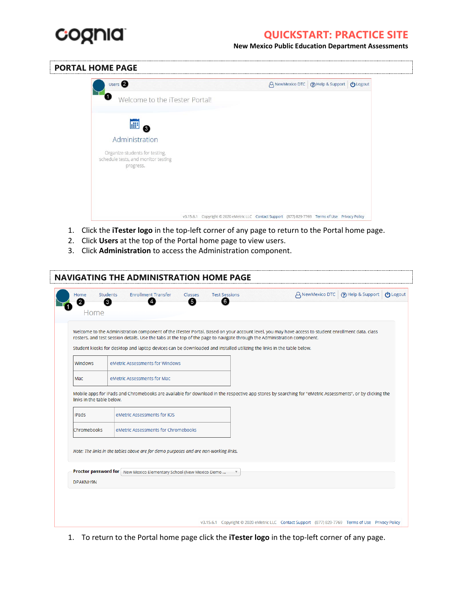

**New Mexico Public Education Department Assessments**

### **PORTAL HOME PAGE**

| Users <sup>2</sup>                                                                 |           |                                                                                         |  | A NewMexico DTC (?) Help & Support <b>い</b> Logout |  |
|------------------------------------------------------------------------------------|-----------|-----------------------------------------------------------------------------------------|--|----------------------------------------------------|--|
| $\bullet$<br>Welcome to the iTester Portal!                                        |           |                                                                                         |  |                                                    |  |
| 疆<br>❸                                                                             |           |                                                                                         |  |                                                    |  |
| Administration                                                                     |           |                                                                                         |  |                                                    |  |
| Organize students for testing,<br>schedule tests, and monitor testing<br>progress. |           |                                                                                         |  |                                                    |  |
|                                                                                    |           |                                                                                         |  |                                                    |  |
|                                                                                    |           |                                                                                         |  |                                                    |  |
|                                                                                    | V3.15.6.1 | Copyright @ 2020 eMetric LLC Contact Support (877) 829-7769 Terms of Use Privacy Policy |  |                                                    |  |

- 1. Click the **iTester logo** in the top-left corner of any page to return to the Portal home page.
- 2. Click **Users** at the top of the Portal home page to view users.
- 3. Click **Administration** to access the Administration component.

| Welcome to the Administration component of the iTester Portal. Based on your account level, you may have access to student enrollment data, class<br>rosters, and test session details. Use the tabs at the top of the page to navigate through the Administration component.<br>Student kiosks for desktop and laptop devices can be downloaded and installed utilizing the links in the table below.<br>Windows<br>eMetric Assessments for Windows<br>eMetric Assessments for Mac<br>Mac<br>Mobile apps for iPads and Chromebooks are available for download in the respective app stores by searching for "eMetric Assessments", or by clicking the<br>links in the table below.<br>eMetric Assessments for iOS<br>iPads<br>Chromebooks<br>eMetric Assessments for Chromebooks | $\mathbf{2}$<br>Home | <b>Enrollment Transfer</b><br>A NewMexico DTC (?) Help & Support (1) Logout<br><b>Students</b><br>Classes<br><b>Test Sessions</b><br>61<br>6<br>4<br>3 |
|-----------------------------------------------------------------------------------------------------------------------------------------------------------------------------------------------------------------------------------------------------------------------------------------------------------------------------------------------------------------------------------------------------------------------------------------------------------------------------------------------------------------------------------------------------------------------------------------------------------------------------------------------------------------------------------------------------------------------------------------------------------------------------------|----------------------|--------------------------------------------------------------------------------------------------------------------------------------------------------|
|                                                                                                                                                                                                                                                                                                                                                                                                                                                                                                                                                                                                                                                                                                                                                                                   |                      |                                                                                                                                                        |
|                                                                                                                                                                                                                                                                                                                                                                                                                                                                                                                                                                                                                                                                                                                                                                                   |                      |                                                                                                                                                        |
|                                                                                                                                                                                                                                                                                                                                                                                                                                                                                                                                                                                                                                                                                                                                                                                   |                      |                                                                                                                                                        |
|                                                                                                                                                                                                                                                                                                                                                                                                                                                                                                                                                                                                                                                                                                                                                                                   |                      |                                                                                                                                                        |
|                                                                                                                                                                                                                                                                                                                                                                                                                                                                                                                                                                                                                                                                                                                                                                                   |                      |                                                                                                                                                        |
| Note: The links in the tables above are for demo purposes and are non-working links.                                                                                                                                                                                                                                                                                                                                                                                                                                                                                                                                                                                                                                                                                              |                      |                                                                                                                                                        |
| Proctor password for New Mexico Elementary School (New Mexico Demo<br>DPAKNH9N                                                                                                                                                                                                                                                                                                                                                                                                                                                                                                                                                                                                                                                                                                    |                      |                                                                                                                                                        |

1. To return to the Portal home page click the **iTester logo** in the top-left corner of any page.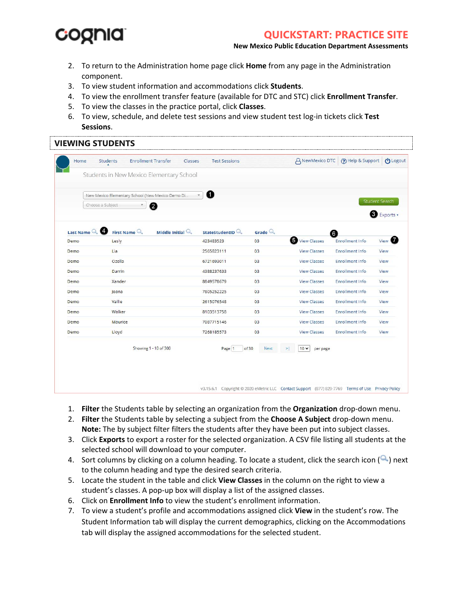# coonia

# **QUICKSTART: PRACTICE SITE**

**New Mexico Public Education Department Assessments**

- 2. To return to the Administration home page click **Home** from any page in the Administration component.
- 3. To view student information and accommodations click **Students**.
- 4. To view the enrollment transfer feature (available for DTC and STC) click **Enrollment Transfer**.
- 5. To view the classes in the practice portal, click **Classes**.
- 6. To view, schedule, and delete test sessions and view student test log-in tickets click **Test Sessions**.

#### **VIEWING STUDENTS** Home Students **Enrollment Transfer** Classes **Test Sessions** A NewMexico DTC (?) Help & Support (1) Logout Students in New Mexico Elementary School New Mexico Elementary School (New Mexico Demo Di.  $\ddot{\phantom{1}}$ A Choose a Subject  $\mathbf{v}$  $\boldsymbol{c}$ **B** Exports Last Name Q First Name  $\mathbb Q$ Middle Initial  $\mathbb Q$ StateStudentID Grade  $\mathbb Q$ A  $03$ View Classes Forollment Info View <sup>7</sup> Demo Lesly 423483523 Demo Lia 2565823111  $0<sup>3</sup>$ **View Classes** Enrollment Info View Demo Ozella 6721693011  $0<sup>3</sup>$ View Classes Enrollment Info View Demo Darrin 4388237633  $03$ **View Classes** Enrollment Info View Demo Xander 8849578679  $03$ **View Classes** Enrollment Info View Joana 7805252225  $0<sup>3</sup>$ View Classes **Enrollment Info** Demo View Vallie 2615076548  $0<sup>3</sup>$ **View Classes** Enrollment Info Demo View Walker 8103513758  $03$ Enrollment Info Demo **View Classes** View Demo Maurice 7087715146  $0<sup>3</sup>$ **View Classes Enrollment Info** View Demo Lloyd 7268185573  $0<sup>3</sup>$ **View Classes** Enrollment Info View Showing 1 - 10 of 300 Next  $10 \times 1$  per page Page 1  $of 30$ v3.15.6.1 Copyright © 2020 eMetric LLC Contact Support (877) 829-7769 Terms of Use Privacy Policy

- 1. **Filter** the Students table by selecting an organization from the **Organization** drop-down menu.
- 2. **Filter** the Students table by selecting a subject from the **Choose A Subject** drop-down menu. **Note:** The by subject filter filters the students after they have been put into subject classes.
- 3. Click **Exports** to export a roster for the selected organization. A CSV file listing all students at the selected school will download to your computer.
- 4. Sort columns by clicking on a column heading. To locate a student, click the search icon  $(\triangle)$  next to the column heading and type the desired search criteria.
- 5. Locate the student in the table and click **View Classes** in the column on the right to view a student's classes. A pop-up box will display a list of the assigned classes.
- 6. Click on **Enrollment Info** to view the student's enrollment information.
- 7. To view a student's profile and accommodations assigned click **View** in the student's row. The Student Information tab will display the current demographics, clicking on the Accommodations tab will display the assigned accommodations for the selected student.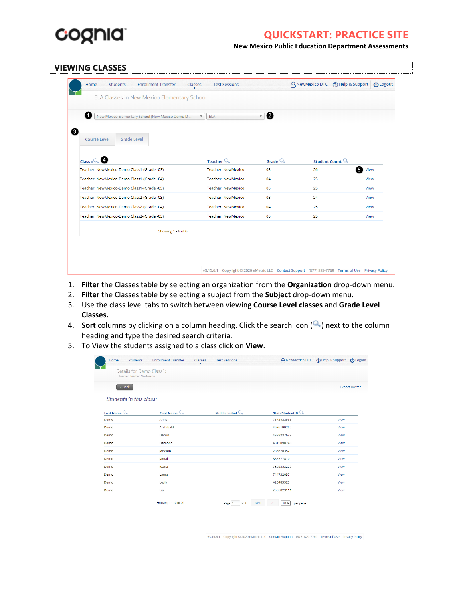

**New Mexico Public Education Department Assessments**

#### **VIEWING CLASSES**

| <b>Enrollment Transfer</b><br><b>Students</b><br>Home<br>Classes | <b>Test Sessions</b>           |                    |                                                                                                   | A NewMexico DTC (?) Help & Support U Logout |  |
|------------------------------------------------------------------|--------------------------------|--------------------|---------------------------------------------------------------------------------------------------|---------------------------------------------|--|
| ELA Classes in New Mexico Elementary School                      |                                |                    |                                                                                                   |                                             |  |
| New Mexico Elementary School (New Mexico Demo Di                 | ELA<br>$\overline{\mathbf{v}}$ | 2                  |                                                                                                   |                                             |  |
| <b>Grade Level</b><br>Course Level                               |                                |                    |                                                                                                   |                                             |  |
| Class $\overline{Q}$                                             | Teacher $\mathbb Q$            | Grade $\mathbb{Q}$ | Student Count                                                                                     |                                             |  |
| Teacher, NewMexico-Demo Class1-(Grade -03)                       | Teacher, NewMexico             | 03                 | 26                                                                                                | 6<br>View                                   |  |
| Teacher, NewMexico-Demo Class1-(Grade -04)                       | Teacher, NewMexico             | 04                 | 25                                                                                                | View                                        |  |
| Teacher, NewMexico-Demo Class1-(Grade -05)                       | Teacher, NewMexico             | 05                 | 25                                                                                                | View                                        |  |
| Teacher, NewMexico-Demo Class2-(Grade -03)                       | Teacher, NewMexico             | 03                 | 24                                                                                                | View                                        |  |
| Teacher, NewMexico-Demo Class2-(Grade -04)                       | Teacher, NewMexico             | 04                 | 25                                                                                                | View                                        |  |
| Teacher, NewMexico-Demo Class2-(Grade -05)                       | Teacher, NewMexico             | 05                 | 25                                                                                                | View                                        |  |
| Showing 1 - 6 of 6                                               |                                |                    |                                                                                                   |                                             |  |
|                                                                  |                                |                    |                                                                                                   |                                             |  |
|                                                                  |                                |                    |                                                                                                   |                                             |  |
|                                                                  |                                |                    |                                                                                                   |                                             |  |
|                                                                  |                                |                    | v3.15.6.1 Copyright @ 2020 eMetric LLC Contact Support (877) 829-7769 Terms of Use Privacy Policy |                                             |  |

- 1. **Filter** the Classes table by selecting an organization from the **Organization** drop-down menu.
- 2. **Filter** the Classes table by selecting a subject from the **Subject** drop-down menu.
- 3. Use the class level tabs to switch between viewing **Course Level classes** and **Grade Level Classes.**
- 4. **Sort** columns by clicking on a column heading. Click the search icon (**4)** next to the column heading and type the desired search criteria.
- 5. To View the students assigned to a class click on **View**.

| <b>Students</b><br>Home                                 | <b>Enrollment Transfer</b> | $\overbrace{ \rule{0pt}{2ex} }^{\text{Classes}}$<br><b>Test Sessions</b> |                                                                                                   | A NewMexico DTC (?) Help & Support (り Logout |  |
|---------------------------------------------------------|----------------------------|--------------------------------------------------------------------------|---------------------------------------------------------------------------------------------------|----------------------------------------------|--|
| Details for Demo Class1:<br>Teacher: Teacher, NewMexico |                            |                                                                          |                                                                                                   |                                              |  |
|                                                         |                            |                                                                          |                                                                                                   |                                              |  |
| « Back                                                  |                            |                                                                          |                                                                                                   | <b>Export Roster</b>                         |  |
| Students in this class:                                 |                            |                                                                          |                                                                                                   |                                              |  |
| Last Name $\mathbb{Q}$                                  | First Name $\mathbb{Q}$    | Middle Initial $\mathbb Q$                                               | StateStudentID <sup>Q</sup>                                                                       |                                              |  |
| Demo                                                    | Anne                       |                                                                          | 7872422536                                                                                        | View                                         |  |
| Demo                                                    | Archibald                  |                                                                          | 4976199292                                                                                        | View                                         |  |
| Demo                                                    | Darrin                     |                                                                          | 4388237633                                                                                        | View                                         |  |
| Demo                                                    | Demond                     |                                                                          | 4015090740                                                                                        | View                                         |  |
| Demo                                                    | Jackson                    |                                                                          | 286678352                                                                                         | View                                         |  |
| Demo                                                    | Jamal                      |                                                                          | 885777810                                                                                         | View                                         |  |
| Demo                                                    | Joana                      |                                                                          | 7805252225                                                                                        | View                                         |  |
| Demo                                                    | Laura                      |                                                                          | 744732037                                                                                         | View                                         |  |
| Demo                                                    | Lesly                      |                                                                          | 423483523                                                                                         | View                                         |  |
| Demo                                                    | Lia                        |                                                                          | 2565823111                                                                                        | View                                         |  |
|                                                         | Showing 1 - 10 of 26       | of 3<br>Page 1                                                           | Next<br>$10 -$<br>×<br>per page                                                                   |                                              |  |
|                                                         |                            |                                                                          |                                                                                                   |                                              |  |
|                                                         |                            |                                                                          |                                                                                                   |                                              |  |
|                                                         |                            |                                                                          | v3.15.6.1 Copyright @ 2020 eMetric LLC Contact Support (877) 829-7769 Terms of Use Privacy Policy |                                              |  |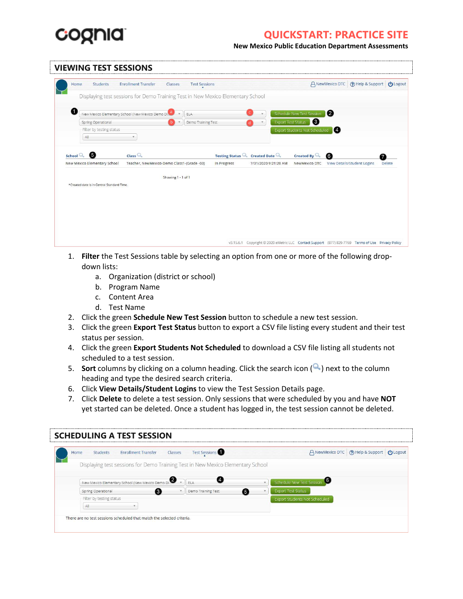

**New Mexico Public Education Department Assessments**

| <b>VIEWING TEST SESSIONS</b>                                                    |                           |             |                                                           |                                |                |                                              |        |
|---------------------------------------------------------------------------------|---------------------------|-------------|-----------------------------------------------------------|--------------------------------|----------------|----------------------------------------------|--------|
| <b>Enrollment Transfer</b><br>Students<br>Classes<br>Home                       | <b>Test Sessions</b><br>× |             |                                                           |                                |                | A NewMexico DTC (?) Help & Support (り Logout |        |
| Displaying test sessions for Demo Training Test in New Mexico Elementary School |                           |             |                                                           |                                |                |                                              |        |
| $\blacksquare$<br>New Mexico Elementary School (New Mexico Demo Di.             | ELA                       |             | $\mathbf{v}$                                              | Schedule New Test Session      | $\mathbf{2}$   |                                              |        |
| Spring Operational                                                              | Demo Training Test        |             |                                                           | 6<br><b>Export Test Status</b> |                |                                              |        |
| Filter by testing status                                                        |                           |             |                                                           | Export Students Not Scheduled  | $\blacksquare$ |                                              |        |
| All<br>v.                                                                       |                           |             |                                                           |                                |                |                                              |        |
| School $\mathbb{Q}$ 5<br>Class Q                                                |                           |             | Testing Status $\mathbb{Q}_s$ Created Date $\mathbb{Q}_s$ | Created By $\mathbb Q$         | 6              |                                              |        |
| New Mexico Elementary School<br>Teacher, NewMexico-Demo Class1-(Grade -03)      |                           | In Progress | 7/31/2020 9:21:20 AM                                      | NewMexico DTC                  |                | View Details/Student Logins                  | Delete |
| Showing 1 - 1 of 1<br>*Created date is in Central Standard Time.                |                           |             |                                                           |                                |                |                                              |        |
|                                                                                 |                           |             |                                                           |                                |                |                                              |        |
|                                                                                 |                           |             |                                                           |                                |                |                                              |        |
|                                                                                 |                           |             |                                                           |                                |                |                                              |        |
|                                                                                 |                           |             |                                                           |                                |                |                                              |        |
|                                                                                 |                           |             |                                                           |                                |                |                                              |        |
|                                                                                 |                           |             |                                                           |                                |                |                                              |        |

- 1. **Filter** the Test Sessions table by selecting an option from one or more of the following dropdown lists:
	- a. Organization (district or school)
	- b. Program Name
	- c. Content Area
	- d. Test Name
- 2. Click the green **Schedule New Test Session** button to schedule a new test session.
- 3. Click the green **Export Test Status** button to export a CSV file listing every student and their test status per session.
- 4. Click the green **Export Students Not Scheduled** to download a CSV file listing all students not scheduled to a test session.
- 5. **Sort** columns by clicking on a column heading. Click the search icon  $(\alpha)$  next to the column heading and type the desired search criteria.
- 6. Click **View Details/Student Logins** to view the Test Session Details page.
- 7. Click **Delete** to delete a test session. Only sessions that were scheduled by you and have **NOT** yet started can be deleted. Once a student has logged in, the test session cannot be deleted.

| Home | <b>Enrollment Transfer</b><br>Students                                          | Classes<br><b>Test Sessions</b> | A NewMexico DTC (?) Help & Support (り Logout     |
|------|---------------------------------------------------------------------------------|---------------------------------|--------------------------------------------------|
|      | Displaying test sessions for Demo Training Test in New Mexico Elementary School |                                 |                                                  |
|      | New Mexico Elementary School (New Mexico Demo Di                                | ELA                             | 16<br>Schedule New Test Session<br>$\mathcal{F}$ |
|      | Spring Operational<br>3.                                                        | Demo Training Test              | <b>Export Test Status</b><br>6                   |
|      | Filter by testing status-                                                       |                                 | Export Students Not Scheduled                    |
|      | All                                                                             |                                 |                                                  |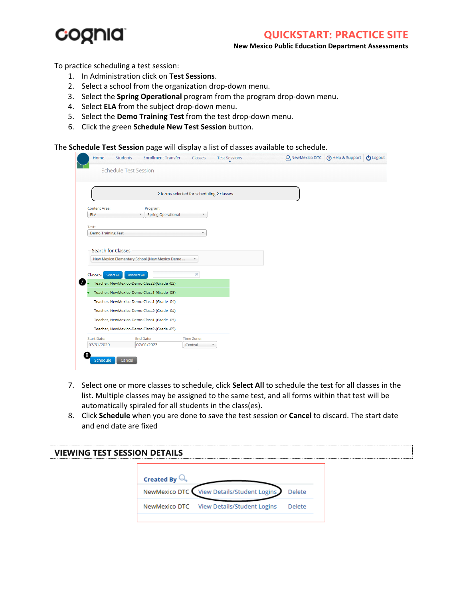

#### **New Mexico Public Education Department Assessments**

To practice scheduling a test session:

- 1. In Administration click on **Test Sessions**.
- 2. Select a school from the organization drop-down menu.
- 3. Select the **Spring Operational** program from the program drop-down menu.
- 4. Select **ELA** from the subject drop-down menu.
- 5. Select the **Demo Training Test** from the test drop-down menu.
- 6. Click the green **Schedule New Test Session** button.

The **Schedule Test Session** page will display a list of classes available to schedule.

|                           | <b>Schedule Test Session</b>                                                             |                                            |  |  |
|---------------------------|------------------------------------------------------------------------------------------|--------------------------------------------|--|--|
|                           |                                                                                          | 2 forms selected for scheduling 2 classes. |  |  |
| <b>Content Area:</b>      | Program:                                                                                 |                                            |  |  |
| <b>ELA</b>                | <b>Spring Operational</b><br>$\overline{\mathbf{v}}$                                     |                                            |  |  |
| Test:                     |                                                                                          |                                            |  |  |
| <b>Demo Training Test</b> |                                                                                          |                                            |  |  |
|                           |                                                                                          |                                            |  |  |
|                           |                                                                                          |                                            |  |  |
| Classes:<br>Select All    | <b>Unselect All</b>                                                                      | ×                                          |  |  |
|                           | Teacher, NewMexico-Demo Class2-(Grade -03)<br>Teacher, NewMexico-Demo Class1-(Grade -03) |                                            |  |  |
|                           | Teacher, NewMexico-Demo Class1-(Grade -04)                                               |                                            |  |  |
|                           | Teacher, NewMexico-Demo Class2-(Grade -04)                                               |                                            |  |  |
|                           | Teacher, NewMexico-Demo Class1-(Grade -05)                                               |                                            |  |  |
|                           | Teacher, NewMexico-Demo Class2-(Grade -05)                                               |                                            |  |  |
| <b>Start Date:</b>        | <b>End Date:</b>                                                                         | Time Zone:                                 |  |  |
| 07/31/2020                | 07/01/2023                                                                               | Central<br>$\overline{\mathbf{v}}$         |  |  |

- 7. Select one or more classes to schedule, click **Select All** to schedule the test for all classes in the list. Multiple classes may be assigned to the same test, and all forms within that test will be automatically spiraled for all students in the class(es).
- 8. Click **Schedule** when you are done to save the test session or **Cancel** to discard. The start date and end date are fixed

| <b>VIEWING TEST SESSION DETAILS</b> |                                           |        |  |
|-------------------------------------|-------------------------------------------|--------|--|
|                                     | <b>Created By</b>                         |        |  |
|                                     | NewMexico DTC View Details/Student Logins | Delete |  |
|                                     | NewMexico DTC View Details/Student Logins | Delete |  |
|                                     |                                           |        |  |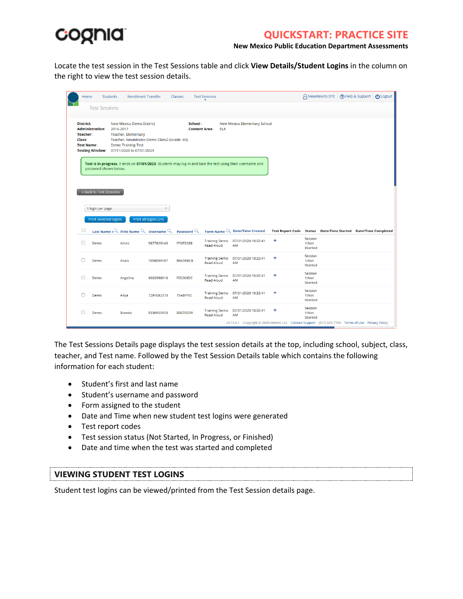

**New Mexico Public Education Department Assessments**

Locate the test session in the Test Sessions table and click **View Details/Student Logins** in the column on the right to view the test session details.

|                                                             | <b>Students</b><br>Home | <b>Enrollment Transfer</b>                                                                                                                                                                 |                       | Classes                         | <b>Test Sessions</b>                      |                                                                                                            |   | A NewMexico DTC                                               | ? Help & Support | <b>U</b> Logout |
|-------------------------------------------------------------|-------------------------|--------------------------------------------------------------------------------------------------------------------------------------------------------------------------------------------|-----------------------|---------------------------------|-------------------------------------------|------------------------------------------------------------------------------------------------------------|---|---------------------------------------------------------------|------------------|-----------------|
|                                                             | <b>Test Sessions</b>    |                                                                                                                                                                                            |                       |                                 |                                           |                                                                                                            |   |                                                               |                  |                 |
| <b>District:</b><br>Teacher:<br>Class:<br><b>Test Name:</b> | <b>Administration:</b>  | New Mexico Demo District<br>2016-2017<br><b>Teacher, Elementary</b><br>Teacher, NewMexico-Demo Class2-(Grade -03)<br><b>Demo Training Test</b><br>Testing Window: 07/31/2020 to 07/01/2023 |                       | School:<br><b>Content Area:</b> | <b>ELA</b>                                | New Mexico Elementary School                                                                               |   |                                                               |                  |                 |
|                                                             | password shown below.   |                                                                                                                                                                                            |                       |                                 |                                           | Test is in progress. It ends on 07/01/2023. Students may log in and take the test using their username and |   |                                                               |                  |                 |
|                                                             |                         |                                                                                                                                                                                            |                       |                                 |                                           |                                                                                                            |   |                                                               |                  |                 |
|                                                             |                         |                                                                                                                                                                                            |                       |                                 |                                           |                                                                                                            |   |                                                               |                  |                 |
|                                                             | « Back to Test Sessions |                                                                                                                                                                                            |                       |                                 |                                           |                                                                                                            |   |                                                               |                  |                 |
|                                                             |                         |                                                                                                                                                                                            |                       |                                 |                                           |                                                                                                            |   |                                                               |                  |                 |
|                                                             |                         |                                                                                                                                                                                            |                       |                                 |                                           |                                                                                                            |   |                                                               |                  |                 |
|                                                             | 1 login per page        |                                                                                                                                                                                            |                       |                                 |                                           |                                                                                                            |   |                                                               |                  |                 |
|                                                             | Print selected logins   |                                                                                                                                                                                            | Print all logins (24) |                                 |                                           |                                                                                                            |   |                                                               |                  |                 |
| ∩                                                           |                         | Last Name $\overline{\mathcal{L}}$ First Name $\mathbb{Q}$                                                                                                                                 | Username              | Password $\mathbb{Q}$           |                                           | Form Name Q Date/Time Created                                                                              |   | Test Report Code Status Date/Time Started Date/Time Completed |                  |                 |
| п                                                           | Demo                    | Amos                                                                                                                                                                                       | 5677620143            | FFDFD3E8                        | <b>Training Demo</b><br><b>Read Aloud</b> | 07/31/2020 10:32:41<br>AM                                                                                  | ٠ | Session<br>1:Not                                              |                  |                 |
|                                                             |                         |                                                                                                                                                                                            |                       |                                 |                                           |                                                                                                            |   | <b>Started</b><br>Session                                     |                  |                 |
| г                                                           | Demo                    | Anais                                                                                                                                                                                      | 7058099187            | B9A5EBCB                        | <b>Training Demo</b><br><b>Read Aloud</b> | 07/31/2020 10:32:41<br>AM                                                                                  | ٠ | 1:Not<br><b>Started</b>                                       |                  |                 |
|                                                             |                         |                                                                                                                                                                                            |                       | FFF263DC                        | <b>Training Demo</b>                      | 07/31/2020 10:32:41                                                                                        | ÷ | Session<br>1:Not                                              |                  |                 |
|                                                             | Demo                    | Angelina                                                                                                                                                                                   | 6032986910            |                                 | <b>Read Aloud</b>                         | AM                                                                                                         |   | <b>Started</b>                                                |                  |                 |
|                                                             | Demo                    | Anya                                                                                                                                                                                       | 7291082373            | 75ABFF5C                        | <b>Training Demo</b>                      | 07/31/2020 10:32:41                                                                                        | ٠ | Session<br>1:Not                                              |                  |                 |
|                                                             |                         |                                                                                                                                                                                            |                       |                                 | <b>Read Aloud</b>                         | AM                                                                                                         |   | <b>Started</b>                                                |                  |                 |
|                                                             | Demo                    | <b>Brando</b>                                                                                                                                                                              | 8536955653            | <b>B3E35ED9</b>                 | <b>Training Demo</b><br><b>Read Aloud</b> | 07/31/2020 10:32:41<br>AM                                                                                  | ٠ | Session<br>1:Not<br><b>Started</b>                            |                  |                 |

The Test Sessions Details page displays the test session details at the top, including school, subject, class, teacher, and Test name. Followed by the Test Session Details table which contains the following information for each student:

- Student's first and last name
- Student's username and password
- Form assigned to the student
- Date and Time when new student test logins were generated
- Test report codes
- Test session status (Not Started, In Progress, or Finished)
- Date and time when the test was started and completed

#### **VIEWING STUDENT TEST LOGINS**

Student test logins can be viewed/printed from the Test Session details page.